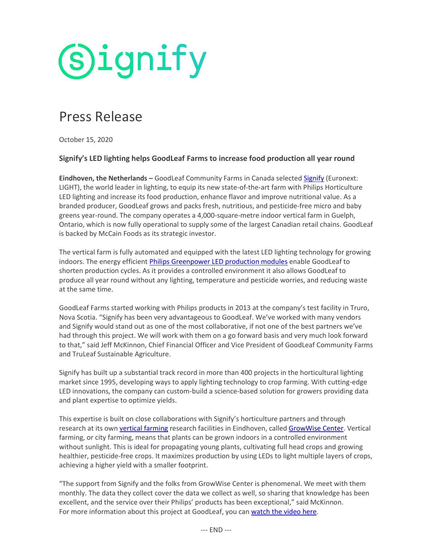

# Press Release

October 15, 2020

## **Signify's LED lighting helps GoodLeaf Farms to increase food production all year round**

**Eindhoven, the Netherlands –** GoodLeaf Community Farms in Canada selecte[d Signify](https://www.signify.com/) (Euronext: LIGHT), the world leader in lighting, to equip its new state-of-the-art farm with Philips Horticulture LED lighting and increase its food production, enhance flavor and improve nutritional value. As a branded producer, GoodLeaf grows and packs fresh, nutritious, and pesticide-free micro and baby greens year-round. The company operates a 4,000-square-metre indoor vertical farm in Guelph, Ontario, which is now fully operational to supply some of the largest Canadian retail chains. GoodLeaf is backed by McCain Foods as its strategic investor.

The vertical farm is fully automated and equipped with the latest LED lighting technology for growing indoors. The energy efficient [Philips Greenpower LED production modules](https://www.lighting.philips.com/main/products/horticulture/city-farming#city_farming) enable GoodLeaf to shorten production cycles. As it provides a controlled environment it also allows GoodLeaf to produce all year round without any lighting, temperature and pesticide worries, and reducing waste at the same time.

GoodLeaf Farms started working with Philips products in 2013 at the company's test facility in Truro, Nova Scotia. "Signify has been very advantageous to GoodLeaf. We've worked with many vendors and Signify would stand out as one of the most collaborative, if not one of the best partners we've had through this project. We will work with them on a go forward basis and very much look forward to that," said Jeff McKinnon, Chief Financial Officer and Vice President of GoodLeaf Community Farms and TruLeaf Sustainable Agriculture.

Signify has built up a substantial track record in more than 400 projects in the horticultural lighting market since 1995, developing ways to apply lighting technology to crop farming. With cutting-edge LED innovations, the company can custom-build a science-based solution for growers providing data and plant expertise to optimize yields.

This expertise is built on close collaborations with Signify's horticulture partners and through research at its own [vertical farming](https://www.lighting.philips.com/main/products/horticulture/city-farming#city_farming) research facilities in Eindhoven, called [GrowWise Center.](https://www.lighting.philips.com/main/cases/cases/horticulture/philips-growwise-center) Vertical farming, or city farming, means that plants can be grown indoors in a controlled environment without sunlight. This is ideal for propagating young plants, cultivating full head crops and growing healthier, pesticide-free crops. It maximizes production by using LEDs to light multiple layers of crops, achieving a higher yield with a smaller footprint.

"The support from Signify and the folks from GrowWise Center is phenomenal. We meet with them monthly. The data they collect cover the data we collect as well, so sharing that knowledge has been excellent, and the service over their Philips' products has been exceptional," said McKinnon. For more information about this project at GoodLeaf, you ca[n watch the video here.](https://www.youtube.com/watch?v=WHQbRqRcUbs)